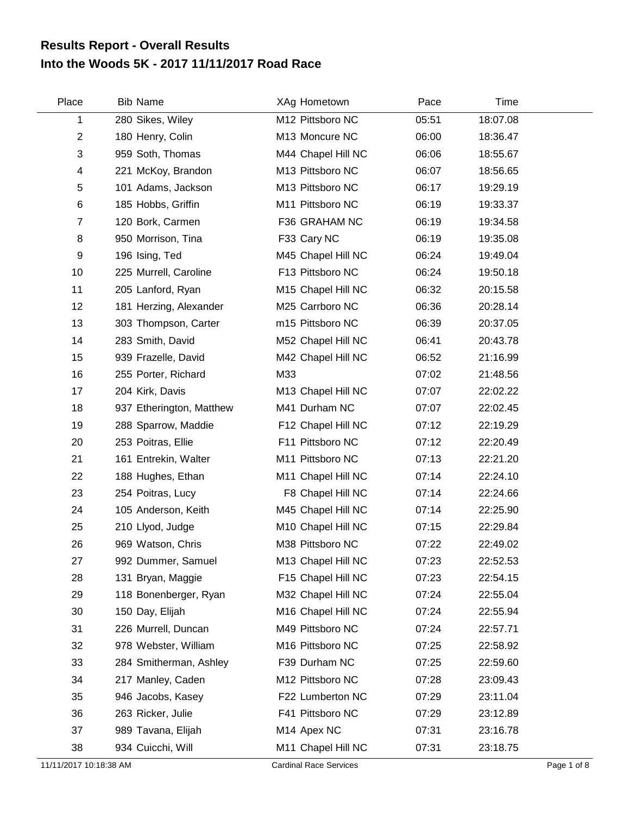## **Into the Woods 5K - 2017 11/11/2017 Road Race Results Report - Overall Results**

| Place          | <b>Bib Name</b>          | XAg Hometown                   | Pace  | Time     |  |
|----------------|--------------------------|--------------------------------|-------|----------|--|
| 1              | 280 Sikes, Wiley         | M12 Pittsboro NC               | 05:51 | 18:07.08 |  |
| $\overline{c}$ | 180 Henry, Colin         | M13 Moncure NC                 | 06:00 | 18:36.47 |  |
| 3              | 959 Soth, Thomas         | M44 Chapel Hill NC             | 06:06 | 18:55.67 |  |
| 4              | 221 McKoy, Brandon       | M13 Pittsboro NC               | 06:07 | 18:56.65 |  |
| 5              | 101 Adams, Jackson       | M13 Pittsboro NC               | 06:17 | 19:29.19 |  |
| 6              | 185 Hobbs, Griffin       | M11 Pittsboro NC               | 06:19 | 19:33.37 |  |
| $\overline{7}$ | 120 Bork, Carmen         | F36 GRAHAM NC                  | 06:19 | 19:34.58 |  |
| 8              | 950 Morrison, Tina       | F33 Cary NC                    | 06:19 | 19:35.08 |  |
| 9              | 196 Ising, Ted           | M45 Chapel Hill NC             | 06:24 | 19:49.04 |  |
| 10             | 225 Murrell, Caroline    | F13 Pittsboro NC               | 06:24 | 19:50.18 |  |
| 11             | 205 Lanford, Ryan        | M15 Chapel Hill NC             | 06:32 | 20:15.58 |  |
| 12             | 181 Herzing, Alexander   | M25 Carrboro NC                | 06:36 | 20:28.14 |  |
| 13             | 303 Thompson, Carter     | m15 Pittsboro NC               | 06:39 | 20:37.05 |  |
| 14             | 283 Smith, David         | M52 Chapel Hill NC             | 06:41 | 20:43.78 |  |
| 15             | 939 Frazelle, David      | M42 Chapel Hill NC             | 06:52 | 21:16.99 |  |
| 16             | 255 Porter, Richard      | M33                            | 07:02 | 21:48.56 |  |
| 17             | 204 Kirk, Davis          | M13 Chapel Hill NC             | 07:07 | 22:02.22 |  |
| 18             | 937 Etherington, Matthew | M41 Durham NC                  | 07:07 | 22:02.45 |  |
| 19             | 288 Sparrow, Maddie      | F12 Chapel Hill NC             | 07:12 | 22:19.29 |  |
| 20             | 253 Poitras, Ellie       | F11 Pittsboro NC               | 07:12 | 22:20.49 |  |
| 21             | 161 Entrekin, Walter     | M11 Pittsboro NC               | 07:13 | 22:21.20 |  |
| 22             | 188 Hughes, Ethan        | M11 Chapel Hill NC             | 07:14 | 22:24.10 |  |
| 23             | 254 Poitras, Lucy        | F8 Chapel Hill NC              | 07:14 | 22:24.66 |  |
| 24             | 105 Anderson, Keith      | M45 Chapel Hill NC             | 07:14 | 22:25.90 |  |
| 25             | 210 Llyod, Judge         | M <sub>10</sub> Chapel Hill NC | 07:15 | 22:29.84 |  |
| 26             | 969 Watson, Chris        | M38 Pittsboro NC               | 07:22 | 22:49.02 |  |
| 27             | 992 Dummer, Samuel       | M13 Chapel Hill NC             | 07:23 | 22:52.53 |  |
| 28             | 131 Bryan, Maggie        | F15 Chapel Hill NC             | 07:23 | 22:54.15 |  |
| 29             | 118 Bonenberger, Ryan    | M32 Chapel Hill NC             | 07:24 | 22:55.04 |  |
| 30             | 150 Day, Elijah          | M16 Chapel Hill NC             | 07:24 | 22:55.94 |  |
| 31             | 226 Murrell, Duncan      | M49 Pittsboro NC               | 07:24 | 22:57.71 |  |
| 32             | 978 Webster, William     | M16 Pittsboro NC               | 07:25 | 22:58.92 |  |
| 33             | 284 Smitherman, Ashley   | F39 Durham NC                  | 07:25 | 22:59.60 |  |
| 34             | 217 Manley, Caden        | M12 Pittsboro NC               | 07:28 | 23:09.43 |  |
| 35             | 946 Jacobs, Kasey        | F22 Lumberton NC               | 07:29 | 23:11.04 |  |
| 36             | 263 Ricker, Julie        | F41 Pittsboro NC               | 07:29 | 23:12.89 |  |
| 37             | 989 Tavana, Elijah       | M14 Apex NC                    | 07:31 | 23:16.78 |  |
| 38             | 934 Cuicchi, Will        | M11 Chapel Hill NC             | 07:31 | 23:18.75 |  |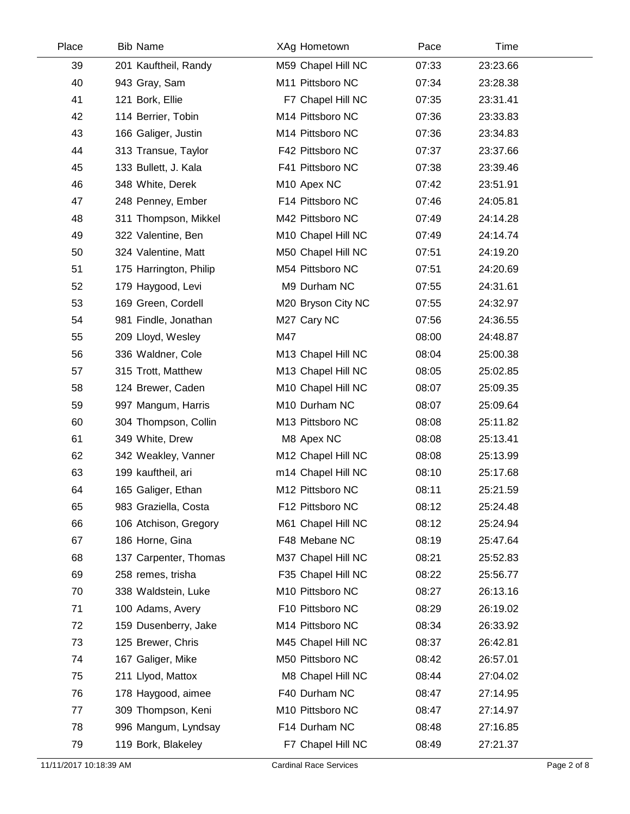| Place | <b>Bib Name</b>        | XAg Hometown       | Pace  | <b>Time</b> |  |
|-------|------------------------|--------------------|-------|-------------|--|
| 39    | 201 Kauftheil, Randy   | M59 Chapel Hill NC | 07:33 | 23:23.66    |  |
| 40    | 943 Gray, Sam          | M11 Pittsboro NC   | 07:34 | 23:28.38    |  |
| 41    | 121 Bork, Ellie        | F7 Chapel Hill NC  | 07:35 | 23:31.41    |  |
| 42    | 114 Berrier, Tobin     | M14 Pittsboro NC   | 07:36 | 23:33.83    |  |
| 43    | 166 Galiger, Justin    | M14 Pittsboro NC   | 07:36 | 23:34.83    |  |
| 44    | 313 Transue, Taylor    | F42 Pittsboro NC   | 07:37 | 23:37.66    |  |
| 45    | 133 Bullett, J. Kala   | F41 Pittsboro NC   | 07:38 | 23:39.46    |  |
| 46    | 348 White, Derek       | M10 Apex NC        | 07:42 | 23:51.91    |  |
| 47    | 248 Penney, Ember      | F14 Pittsboro NC   | 07:46 | 24:05.81    |  |
| 48    | 311 Thompson, Mikkel   | M42 Pittsboro NC   | 07:49 | 24:14.28    |  |
| 49    | 322 Valentine, Ben     | M10 Chapel Hill NC | 07:49 | 24:14.74    |  |
| 50    | 324 Valentine, Matt    | M50 Chapel Hill NC | 07:51 | 24:19.20    |  |
| 51    | 175 Harrington, Philip | M54 Pittsboro NC   | 07:51 | 24:20.69    |  |
| 52    | 179 Haygood, Levi      | M9 Durham NC       | 07:55 | 24:31.61    |  |
| 53    | 169 Green, Cordell     | M20 Bryson City NC | 07:55 | 24:32.97    |  |
| 54    | 981 Findle, Jonathan   | M27 Cary NC        | 07:56 | 24:36.55    |  |
| 55    | 209 Lloyd, Wesley      | M47                | 08:00 | 24:48.87    |  |
| 56    | 336 Waldner, Cole      | M13 Chapel Hill NC | 08:04 | 25:00.38    |  |
| 57    | 315 Trott, Matthew     | M13 Chapel Hill NC | 08:05 | 25:02.85    |  |
| 58    | 124 Brewer, Caden      | M10 Chapel Hill NC | 08:07 | 25:09.35    |  |
| 59    | 997 Mangum, Harris     | M10 Durham NC      | 08:07 | 25:09.64    |  |
| 60    | 304 Thompson, Collin   | M13 Pittsboro NC   | 08:08 | 25:11.82    |  |
| 61    | 349 White, Drew        | M8 Apex NC         | 08:08 | 25:13.41    |  |
| 62    | 342 Weakley, Vanner    | M12 Chapel Hill NC | 08:08 | 25:13.99    |  |
| 63    | 199 kauftheil, ari     | m14 Chapel Hill NC | 08:10 | 25:17.68    |  |
| 64    | 165 Galiger, Ethan     | M12 Pittsboro NC   | 08:11 | 25:21.59    |  |
| 65    | 983 Graziella, Costa   | F12 Pittsboro NC   | 08:12 | 25:24.48    |  |
| 66    | 106 Atchison, Gregory  | M61 Chapel Hill NC | 08:12 | 25:24.94    |  |
| 67    | 186 Horne, Gina        | F48 Mebane NC      | 08:19 | 25:47.64    |  |
| 68    | 137 Carpenter, Thomas  | M37 Chapel Hill NC | 08:21 | 25:52.83    |  |
| 69    | 258 remes, trisha      | F35 Chapel Hill NC | 08:22 | 25:56.77    |  |
| 70    | 338 Waldstein, Luke    | M10 Pittsboro NC   | 08:27 | 26:13.16    |  |
| 71    | 100 Adams, Avery       | F10 Pittsboro NC   | 08:29 | 26:19.02    |  |
| 72    | 159 Dusenberry, Jake   | M14 Pittsboro NC   | 08:34 | 26:33.92    |  |
| 73    | 125 Brewer, Chris      | M45 Chapel Hill NC | 08:37 | 26:42.81    |  |
| 74    | 167 Galiger, Mike      | M50 Pittsboro NC   | 08:42 | 26:57.01    |  |
| 75    | 211 Llyod, Mattox      | M8 Chapel Hill NC  | 08:44 | 27:04.02    |  |
| 76    | 178 Haygood, aimee     | F40 Durham NC      | 08:47 | 27:14.95    |  |
| 77    | 309 Thompson, Keni     | M10 Pittsboro NC   | 08:47 | 27:14.97    |  |
| 78    | 996 Mangum, Lyndsay    | F14 Durham NC      | 08:48 | 27:16.85    |  |
| 79    | 119 Bork, Blakeley     | F7 Chapel Hill NC  | 08:49 | 27:21.37    |  |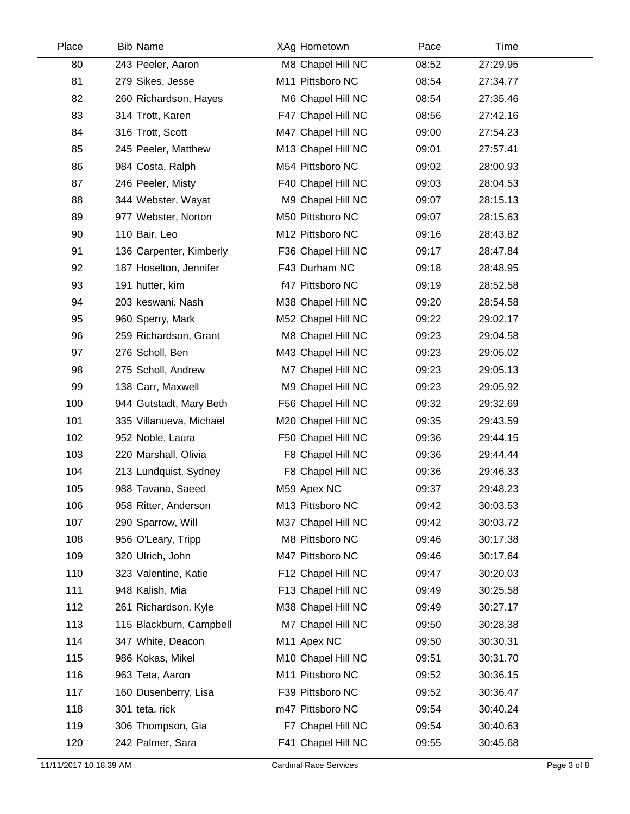| Place | <b>Bib Name</b>         | XAg Hometown            | Pace  | Time     |  |
|-------|-------------------------|-------------------------|-------|----------|--|
| 80    | 243 Peeler, Aaron       | M8 Chapel Hill NC       | 08:52 | 27:29.95 |  |
| 81    | 279 Sikes, Jesse        | M11 Pittsboro NC        | 08:54 | 27:34.77 |  |
| 82    | 260 Richardson, Hayes   | M6 Chapel Hill NC       | 08:54 | 27:35.46 |  |
| 83    | 314 Trott, Karen        | F47 Chapel Hill NC      | 08:56 | 27:42.16 |  |
| 84    | 316 Trott, Scott        | M47 Chapel Hill NC      | 09:00 | 27:54.23 |  |
| 85    | 245 Peeler, Matthew     | M13 Chapel Hill NC      | 09:01 | 27:57.41 |  |
| 86    | 984 Costa, Ralph        | M54 Pittsboro NC        | 09:02 | 28:00.93 |  |
| 87    | 246 Peeler, Misty       | F40 Chapel Hill NC      | 09:03 | 28:04.53 |  |
| 88    | 344 Webster, Wayat      | M9 Chapel Hill NC       | 09:07 | 28:15.13 |  |
| 89    | 977 Webster, Norton     | M50 Pittsboro NC        | 09:07 | 28:15.63 |  |
| 90    | 110 Bair, Leo           | M12 Pittsboro NC        | 09:16 | 28:43.82 |  |
| 91    | 136 Carpenter, Kimberly | F36 Chapel Hill NC      | 09:17 | 28:47.84 |  |
| 92    | 187 Hoselton, Jennifer  | F43 Durham NC           | 09:18 | 28:48.95 |  |
| 93    | 191 hutter, kim         | f47 Pittsboro NC        | 09:19 | 28:52.58 |  |
| 94    | 203 keswani, Nash       | M38 Chapel Hill NC      | 09:20 | 28:54.58 |  |
| 95    | 960 Sperry, Mark        | M52 Chapel Hill NC      | 09:22 | 29:02.17 |  |
| 96    | 259 Richardson, Grant   | M8 Chapel Hill NC       | 09:23 | 29:04.58 |  |
| 97    | 276 Scholl, Ben         | M43 Chapel Hill NC      | 09:23 | 29:05.02 |  |
| 98    | 275 Scholl, Andrew      | M7 Chapel Hill NC       | 09:23 | 29:05.13 |  |
| 99    | 138 Carr, Maxwell       | M9 Chapel Hill NC       | 09:23 | 29:05.92 |  |
| 100   | 944 Gutstadt, Mary Beth | F56 Chapel Hill NC      | 09:32 | 29:32.69 |  |
| 101   | 335 Villanueva, Michael | M20 Chapel Hill NC      | 09:35 | 29:43.59 |  |
| 102   | 952 Noble, Laura        | F50 Chapel Hill NC      | 09:36 | 29:44.15 |  |
| 103   | 220 Marshall, Olivia    | F8 Chapel Hill NC       | 09:36 | 29:44.44 |  |
| 104   | 213 Lundquist, Sydney   | F8 Chapel Hill NC       | 09:36 | 29:46.33 |  |
| 105   | 988 Tavana, Saeed       | M59 Apex NC             | 09:37 | 29:48.23 |  |
| 106   | 958 Ritter, Anderson    | M13 Pittsboro NC        | 09:42 | 30:03.53 |  |
| 107   | 290 Sparrow, Will       | M37 Chapel Hill NC      | 09:42 | 30:03.72 |  |
| 108   | 956 O'Leary, Tripp      | M8 Pittsboro NC         | 09:46 | 30:17.38 |  |
| 109   | 320 Ulrich, John        | M47 Pittsboro NC        | 09:46 | 30:17.64 |  |
| 110   | 323 Valentine, Katie    | F12 Chapel Hill NC      | 09:47 | 30:20.03 |  |
| 111   | 948 Kalish, Mia         | F13 Chapel Hill NC      | 09:49 | 30:25.58 |  |
| 112   | 261 Richardson, Kyle    | M38 Chapel Hill NC      | 09:49 | 30:27.17 |  |
| 113   | 115 Blackburn, Campbell | M7 Chapel Hill NC       | 09:50 | 30:28.38 |  |
| 114   | 347 White, Deacon       | M <sub>11</sub> Apex NC | 09:50 | 30:30.31 |  |
| 115   | 986 Kokas, Mikel        | M10 Chapel Hill NC      | 09:51 | 30:31.70 |  |
| 116   | 963 Teta, Aaron         | M11 Pittsboro NC        | 09:52 | 30:36.15 |  |
| 117   | 160 Dusenberry, Lisa    | F39 Pittsboro NC        | 09:52 | 30:36.47 |  |
| 118   | 301 teta, rick          | m47 Pittsboro NC        | 09:54 | 30:40.24 |  |
| 119   | 306 Thompson, Gia       | F7 Chapel Hill NC       | 09:54 | 30:40.63 |  |
| 120   | 242 Palmer, Sara        | F41 Chapel Hill NC      | 09:55 | 30:45.68 |  |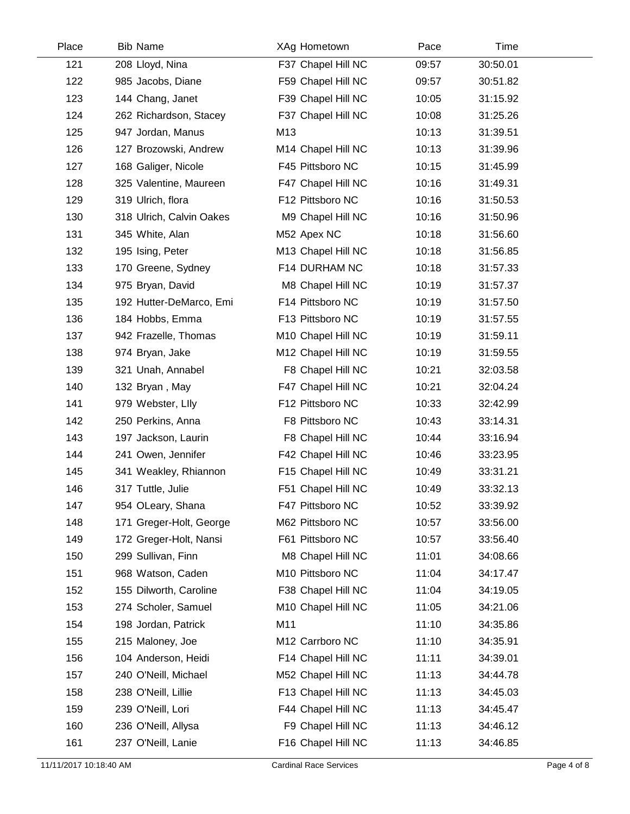| Place | <b>Bib Name</b>          | XAg Hometown       | Pace  | Time     |  |
|-------|--------------------------|--------------------|-------|----------|--|
| 121   | 208 Lloyd, Nina          | F37 Chapel Hill NC | 09:57 | 30:50.01 |  |
| 122   | 985 Jacobs, Diane        | F59 Chapel Hill NC | 09:57 | 30:51.82 |  |
| 123   | 144 Chang, Janet         | F39 Chapel Hill NC | 10:05 | 31:15.92 |  |
| 124   | 262 Richardson, Stacey   | F37 Chapel Hill NC | 10:08 | 31:25.26 |  |
| 125   | 947 Jordan, Manus        | M13                | 10:13 | 31:39.51 |  |
| 126   | 127 Brozowski, Andrew    | M14 Chapel Hill NC | 10:13 | 31:39.96 |  |
| 127   | 168 Galiger, Nicole      | F45 Pittsboro NC   | 10:15 | 31:45.99 |  |
| 128   | 325 Valentine, Maureen   | F47 Chapel Hill NC | 10:16 | 31:49.31 |  |
| 129   | 319 Ulrich, flora        | F12 Pittsboro NC   | 10:16 | 31:50.53 |  |
| 130   | 318 Ulrich, Calvin Oakes | M9 Chapel Hill NC  | 10:16 | 31:50.96 |  |
| 131   | 345 White, Alan          | M52 Apex NC        | 10:18 | 31:56.60 |  |
| 132   | 195 Ising, Peter         | M13 Chapel Hill NC | 10:18 | 31:56.85 |  |
| 133   | 170 Greene, Sydney       | F14 DURHAM NC      | 10:18 | 31:57.33 |  |
| 134   | 975 Bryan, David         | M8 Chapel Hill NC  | 10:19 | 31:57.37 |  |
| 135   | 192 Hutter-DeMarco, Emi  | F14 Pittsboro NC   | 10:19 | 31:57.50 |  |
| 136   | 184 Hobbs, Emma          | F13 Pittsboro NC   | 10:19 | 31:57.55 |  |
| 137   | 942 Frazelle, Thomas     | M10 Chapel Hill NC | 10:19 | 31:59.11 |  |
| 138   | 974 Bryan, Jake          | M12 Chapel Hill NC | 10:19 | 31:59.55 |  |
| 139   | 321 Unah, Annabel        | F8 Chapel Hill NC  | 10:21 | 32:03.58 |  |
| 140   | 132 Bryan, May           | F47 Chapel Hill NC | 10:21 | 32:04.24 |  |
| 141   | 979 Webster, Llly        | F12 Pittsboro NC   | 10:33 | 32:42.99 |  |
| 142   | 250 Perkins, Anna        | F8 Pittsboro NC    | 10:43 | 33:14.31 |  |
| 143   | 197 Jackson, Laurin      | F8 Chapel Hill NC  | 10:44 | 33:16.94 |  |
| 144   | 241 Owen, Jennifer       | F42 Chapel Hill NC | 10:46 | 33:23.95 |  |
| 145   | 341 Weakley, Rhiannon    | F15 Chapel Hill NC | 10:49 | 33:31.21 |  |
| 146   | 317 Tuttle, Julie        | F51 Chapel Hill NC | 10:49 | 33:32.13 |  |
| 147   | 954 OLeary, Shana        | F47 Pittsboro NC   | 10:52 | 33:39.92 |  |
| 148   | 171 Greger-Holt, George  | M62 Pittsboro NC   | 10:57 | 33:56.00 |  |
| 149   | 172 Greger-Holt, Nansi   | F61 Pittsboro NC   | 10:57 | 33:56.40 |  |
| 150   | 299 Sullivan, Finn       | M8 Chapel Hill NC  | 11:01 | 34:08.66 |  |
| 151   | 968 Watson, Caden        | M10 Pittsboro NC   | 11:04 | 34:17.47 |  |
| 152   | 155 Dilworth, Caroline   | F38 Chapel Hill NC | 11:04 | 34:19.05 |  |
| 153   | 274 Scholer, Samuel      | M10 Chapel Hill NC | 11:05 | 34:21.06 |  |
| 154   | 198 Jordan, Patrick      | M11                | 11:10 | 34:35.86 |  |
| 155   | 215 Maloney, Joe         | M12 Carrboro NC    | 11:10 | 34:35.91 |  |
| 156   | 104 Anderson, Heidi      | F14 Chapel Hill NC | 11:11 | 34:39.01 |  |
| 157   | 240 O'Neill, Michael     | M52 Chapel Hill NC | 11:13 | 34:44.78 |  |
| 158   | 238 O'Neill, Lillie      | F13 Chapel Hill NC | 11:13 | 34:45.03 |  |
| 159   | 239 O'Neill, Lori        | F44 Chapel Hill NC | 11:13 | 34:45.47 |  |
| 160   | 236 O'Neill, Allysa      | F9 Chapel Hill NC  | 11:13 | 34:46.12 |  |
| 161   | 237 O'Neill, Lanie       | F16 Chapel Hill NC | 11:13 | 34:46.85 |  |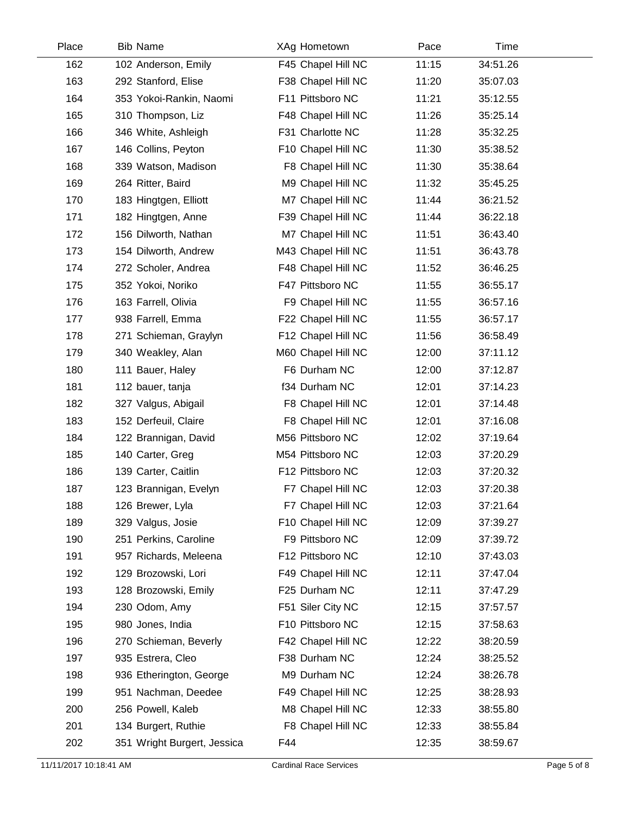| Place | <b>Bib Name</b>             | XAg Hometown       | Pace  | Time     |  |
|-------|-----------------------------|--------------------|-------|----------|--|
| 162   | 102 Anderson, Emily         | F45 Chapel Hill NC | 11:15 | 34:51.26 |  |
| 163   | 292 Stanford, Elise         | F38 Chapel Hill NC | 11:20 | 35:07.03 |  |
| 164   | 353 Yokoi-Rankin, Naomi     | F11 Pittsboro NC   | 11:21 | 35:12.55 |  |
| 165   | 310 Thompson, Liz           | F48 Chapel Hill NC | 11:26 | 35:25.14 |  |
| 166   | 346 White, Ashleigh         | F31 Charlotte NC   | 11:28 | 35:32.25 |  |
| 167   | 146 Collins, Peyton         | F10 Chapel Hill NC | 11:30 | 35:38.52 |  |
| 168   | 339 Watson, Madison         | F8 Chapel Hill NC  | 11:30 | 35:38.64 |  |
| 169   | 264 Ritter, Baird           | M9 Chapel Hill NC  | 11:32 | 35:45.25 |  |
| 170   | 183 Hingtgen, Elliott       | M7 Chapel Hill NC  | 11:44 | 36:21.52 |  |
| 171   | 182 Hingtgen, Anne          | F39 Chapel Hill NC | 11:44 | 36:22.18 |  |
| 172   | 156 Dilworth, Nathan        | M7 Chapel Hill NC  | 11:51 | 36:43.40 |  |
| 173   | 154 Dilworth, Andrew        | M43 Chapel Hill NC | 11:51 | 36:43.78 |  |
| 174   | 272 Scholer, Andrea         | F48 Chapel Hill NC | 11:52 | 36:46.25 |  |
| 175   | 352 Yokoi, Noriko           | F47 Pittsboro NC   | 11:55 | 36:55.17 |  |
| 176   | 163 Farrell, Olivia         | F9 Chapel Hill NC  | 11:55 | 36:57.16 |  |
| 177   | 938 Farrell, Emma           | F22 Chapel Hill NC | 11:55 | 36:57.17 |  |
| 178   | 271 Schieman, Graylyn       | F12 Chapel Hill NC | 11:56 | 36:58.49 |  |
| 179   | 340 Weakley, Alan           | M60 Chapel Hill NC | 12:00 | 37:11.12 |  |
| 180   | 111 Bauer, Haley            | F6 Durham NC       | 12:00 | 37:12.87 |  |
| 181   | 112 bauer, tanja            | f34 Durham NC      | 12:01 | 37:14.23 |  |
| 182   | 327 Valgus, Abigail         | F8 Chapel Hill NC  | 12:01 | 37:14.48 |  |
| 183   | 152 Derfeuil, Claire        | F8 Chapel Hill NC  | 12:01 | 37:16.08 |  |
| 184   | 122 Brannigan, David        | M56 Pittsboro NC   | 12:02 | 37:19.64 |  |
| 185   | 140 Carter, Greg            | M54 Pittsboro NC   | 12:03 | 37:20.29 |  |
| 186   | 139 Carter, Caitlin         | F12 Pittsboro NC   | 12:03 | 37:20.32 |  |
| 187   | 123 Brannigan, Evelyn       | F7 Chapel Hill NC  | 12:03 | 37:20.38 |  |
| 188   | 126 Brewer, Lyla            | F7 Chapel Hill NC  | 12:03 | 37:21.64 |  |
| 189   | 329 Valgus, Josie           | F10 Chapel Hill NC | 12:09 | 37:39.27 |  |
| 190   | 251 Perkins, Caroline       | F9 Pittsboro NC    | 12:09 | 37:39.72 |  |
| 191   | 957 Richards, Meleena       | F12 Pittsboro NC   | 12:10 | 37:43.03 |  |
| 192   | 129 Brozowski, Lori         | F49 Chapel Hill NC | 12:11 | 37:47.04 |  |
| 193   | 128 Brozowski, Emily        | F25 Durham NC      | 12:11 | 37:47.29 |  |
| 194   | 230 Odom, Amy               | F51 Siler City NC  | 12:15 | 37:57.57 |  |
| 195   | 980 Jones, India            | F10 Pittsboro NC   | 12:15 | 37:58.63 |  |
| 196   | 270 Schieman, Beverly       | F42 Chapel Hill NC | 12:22 | 38:20.59 |  |
| 197   | 935 Estrera, Cleo           | F38 Durham NC      | 12:24 | 38:25.52 |  |
| 198   | 936 Etherington, George     | M9 Durham NC       | 12:24 | 38:26.78 |  |
| 199   | 951 Nachman, Deedee         | F49 Chapel Hill NC | 12:25 | 38:28.93 |  |
| 200   | 256 Powell, Kaleb           | M8 Chapel Hill NC  | 12:33 | 38:55.80 |  |
| 201   | 134 Burgert, Ruthie         | F8 Chapel Hill NC  | 12:33 | 38:55.84 |  |
| 202   | 351 Wright Burgert, Jessica | F44                | 12:35 | 38:59.67 |  |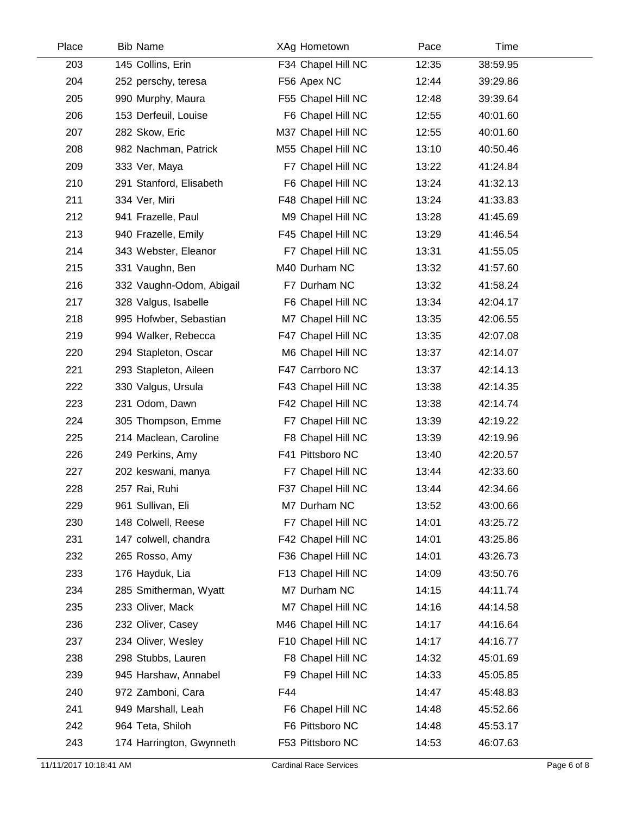| Place | <b>Bib Name</b>          | XAg Hometown       | Pace  | Time     |  |
|-------|--------------------------|--------------------|-------|----------|--|
| 203   | 145 Collins, Erin        | F34 Chapel Hill NC | 12:35 | 38:59.95 |  |
| 204   | 252 perschy, teresa      | F56 Apex NC        | 12:44 | 39:29.86 |  |
| 205   | 990 Murphy, Maura        | F55 Chapel Hill NC | 12:48 | 39:39.64 |  |
| 206   | 153 Derfeuil, Louise     | F6 Chapel Hill NC  | 12:55 | 40:01.60 |  |
| 207   | 282 Skow, Eric           | M37 Chapel Hill NC | 12:55 | 40:01.60 |  |
| 208   | 982 Nachman, Patrick     | M55 Chapel Hill NC | 13:10 | 40:50.46 |  |
| 209   | 333 Ver, Maya            | F7 Chapel Hill NC  | 13:22 | 41:24.84 |  |
| 210   | 291 Stanford, Elisabeth  | F6 Chapel Hill NC  | 13:24 | 41:32.13 |  |
| 211   | 334 Ver, Miri            | F48 Chapel Hill NC | 13:24 | 41:33.83 |  |
| 212   | 941 Frazelle, Paul       | M9 Chapel Hill NC  | 13:28 | 41:45.69 |  |
| 213   | 940 Frazelle, Emily      | F45 Chapel Hill NC | 13:29 | 41:46.54 |  |
| 214   | 343 Webster, Eleanor     | F7 Chapel Hill NC  | 13:31 | 41:55.05 |  |
| 215   | 331 Vaughn, Ben          | M40 Durham NC      | 13:32 | 41:57.60 |  |
| 216   | 332 Vaughn-Odom, Abigail | F7 Durham NC       | 13:32 | 41:58.24 |  |
| 217   | 328 Valgus, Isabelle     | F6 Chapel Hill NC  | 13:34 | 42:04.17 |  |
| 218   | 995 Hofwber, Sebastian   | M7 Chapel Hill NC  | 13:35 | 42:06.55 |  |
| 219   | 994 Walker, Rebecca      | F47 Chapel Hill NC | 13:35 | 42:07.08 |  |
| 220   | 294 Stapleton, Oscar     | M6 Chapel Hill NC  | 13:37 | 42:14.07 |  |
| 221   | 293 Stapleton, Aileen    | F47 Carrboro NC    | 13:37 | 42:14.13 |  |
| 222   | 330 Valgus, Ursula       | F43 Chapel Hill NC | 13:38 | 42:14.35 |  |
| 223   | 231 Odom, Dawn           | F42 Chapel Hill NC | 13:38 | 42:14.74 |  |
| 224   | 305 Thompson, Emme       | F7 Chapel Hill NC  | 13:39 | 42:19.22 |  |
| 225   | 214 Maclean, Caroline    | F8 Chapel Hill NC  | 13:39 | 42:19.96 |  |
| 226   | 249 Perkins, Amy         | F41 Pittsboro NC   | 13:40 | 42:20.57 |  |
| 227   | 202 keswani, manya       | F7 Chapel Hill NC  | 13:44 | 42:33.60 |  |
| 228   | 257 Rai, Ruhi            | F37 Chapel Hill NC | 13:44 | 42:34.66 |  |
| 229   | 961 Sullivan, Eli        | M7 Durham NC       | 13:52 | 43:00.66 |  |
| 230   | 148 Colwell, Reese       | F7 Chapel Hill NC  | 14:01 | 43:25.72 |  |
| 231   | 147 colwell, chandra     | F42 Chapel Hill NC | 14:01 | 43:25.86 |  |
| 232   | 265 Rosso, Amy           | F36 Chapel Hill NC | 14:01 | 43:26.73 |  |
| 233   | 176 Hayduk, Lia          | F13 Chapel Hill NC | 14:09 | 43:50.76 |  |
| 234   | 285 Smitherman, Wyatt    | M7 Durham NC       | 14:15 | 44:11.74 |  |
| 235   | 233 Oliver, Mack         | M7 Chapel Hill NC  | 14:16 | 44:14.58 |  |
| 236   | 232 Oliver, Casey        | M46 Chapel Hill NC | 14:17 | 44:16.64 |  |
| 237   | 234 Oliver, Wesley       | F10 Chapel Hill NC | 14:17 | 44:16.77 |  |
| 238   | 298 Stubbs, Lauren       | F8 Chapel Hill NC  | 14:32 | 45:01.69 |  |
| 239   | 945 Harshaw, Annabel     | F9 Chapel Hill NC  | 14:33 | 45:05.85 |  |
| 240   | 972 Zamboni, Cara        | F44                | 14:47 | 45:48.83 |  |
| 241   | 949 Marshall, Leah       | F6 Chapel Hill NC  | 14:48 | 45:52.66 |  |
| 242   | 964 Teta, Shiloh         | F6 Pittsboro NC    | 14:48 | 45:53.17 |  |
| 243   | 174 Harrington, Gwynneth | F53 Pittsboro NC   | 14:53 | 46:07.63 |  |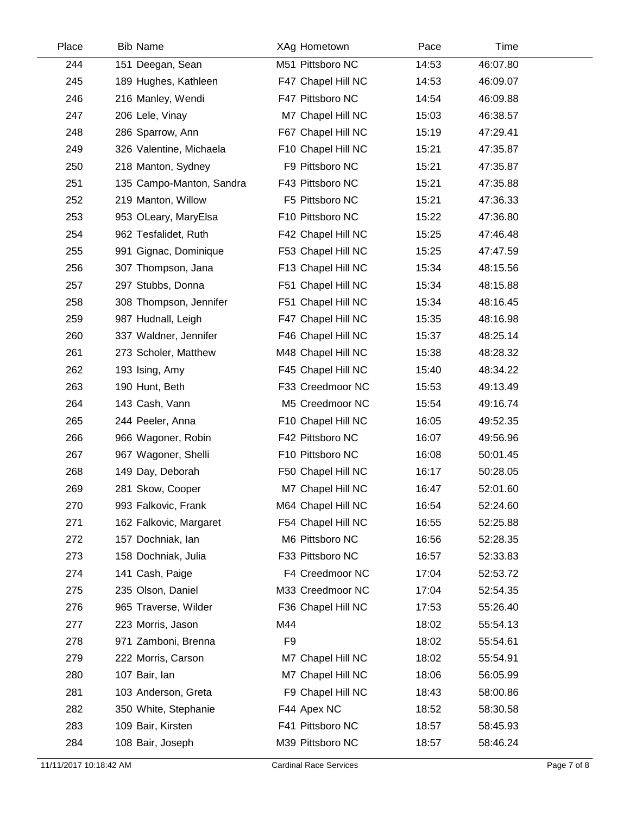| Place | <b>Bib Name</b>          | XAg Hometown       | Pace  | Time     |  |
|-------|--------------------------|--------------------|-------|----------|--|
| 244   | 151 Deegan, Sean         | M51 Pittsboro NC   | 14:53 | 46:07.80 |  |
| 245   | 189 Hughes, Kathleen     | F47 Chapel Hill NC | 14:53 | 46:09.07 |  |
| 246   | 216 Manley, Wendi        | F47 Pittsboro NC   | 14:54 | 46:09.88 |  |
| 247   | 206 Lele, Vinay          | M7 Chapel Hill NC  | 15:03 | 46:38.57 |  |
| 248   | 286 Sparrow, Ann         | F67 Chapel Hill NC | 15:19 | 47:29.41 |  |
| 249   | 326 Valentine, Michaela  | F10 Chapel Hill NC | 15:21 | 47:35.87 |  |
| 250   | 218 Manton, Sydney       | F9 Pittsboro NC    | 15:21 | 47:35.87 |  |
| 251   | 135 Campo-Manton, Sandra | F43 Pittsboro NC   | 15:21 | 47:35.88 |  |
| 252   | 219 Manton, Willow       | F5 Pittsboro NC    | 15:21 | 47:36.33 |  |
| 253   | 953 OLeary, MaryElsa     | F10 Pittsboro NC   | 15:22 | 47:36.80 |  |
| 254   | 962 Tesfalidet, Ruth     | F42 Chapel Hill NC | 15:25 | 47:46.48 |  |
| 255   | 991 Gignac, Dominique    | F53 Chapel Hill NC | 15:25 | 47:47.59 |  |
| 256   | 307 Thompson, Jana       | F13 Chapel Hill NC | 15:34 | 48:15.56 |  |
| 257   | 297 Stubbs, Donna        | F51 Chapel Hill NC | 15:34 | 48:15.88 |  |
| 258   | 308 Thompson, Jennifer   | F51 Chapel Hill NC | 15:34 | 48:16.45 |  |
| 259   | 987 Hudnall, Leigh       | F47 Chapel Hill NC | 15:35 | 48:16.98 |  |
| 260   | 337 Waldner, Jennifer    | F46 Chapel Hill NC | 15:37 | 48:25.14 |  |
| 261   | 273 Scholer, Matthew     | M48 Chapel Hill NC | 15:38 | 48:28.32 |  |
| 262   | 193 Ising, Amy           | F45 Chapel Hill NC | 15:40 | 48:34.22 |  |
| 263   | 190 Hunt, Beth           | F33 Creedmoor NC   | 15:53 | 49:13.49 |  |
| 264   | 143 Cash, Vann           | M5 Creedmoor NC    | 15:54 | 49:16.74 |  |
| 265   | 244 Peeler, Anna         | F10 Chapel Hill NC | 16:05 | 49:52.35 |  |
| 266   | 966 Wagoner, Robin       | F42 Pittsboro NC   | 16:07 | 49:56.96 |  |
| 267   | 967 Wagoner, Shelli      | F10 Pittsboro NC   | 16:08 | 50:01.45 |  |
| 268   | 149 Day, Deborah         | F50 Chapel Hill NC | 16:17 | 50:28.05 |  |
| 269   | 281 Skow, Cooper         | M7 Chapel Hill NC  | 16:47 | 52:01.60 |  |
| 270   | 993 Falkovic, Frank      | M64 Chapel Hill NC | 16:54 | 52:24.60 |  |
| 271   | 162 Falkovic, Margaret   | F54 Chapel Hill NC | 16:55 | 52:25.88 |  |
| 272   | 157 Dochniak, lan        | M6 Pittsboro NC    | 16:56 | 52:28.35 |  |
| 273   | 158 Dochniak, Julia      | F33 Pittsboro NC   | 16:57 | 52:33.83 |  |
| 274   | 141 Cash, Paige          | F4 Creedmoor NC    | 17:04 | 52:53.72 |  |
| 275   | 235 Olson, Daniel        | M33 Creedmoor NC   | 17:04 | 52:54.35 |  |
| 276   | 965 Traverse, Wilder     | F36 Chapel Hill NC | 17:53 | 55:26.40 |  |
| 277   | 223 Morris, Jason        | M44                | 18:02 | 55:54.13 |  |
| 278   | 971 Zamboni, Brenna      | F <sub>9</sub>     | 18:02 | 55:54.61 |  |
| 279   | 222 Morris, Carson       | M7 Chapel Hill NC  | 18:02 | 55:54.91 |  |
| 280   | 107 Bair, Ian            | M7 Chapel Hill NC  | 18:06 | 56:05.99 |  |
| 281   | 103 Anderson, Greta      | F9 Chapel Hill NC  | 18:43 | 58:00.86 |  |
| 282   | 350 White, Stephanie     | F44 Apex NC        | 18:52 | 58:30.58 |  |
| 283   | 109 Bair, Kirsten        | F41 Pittsboro NC   | 18:57 | 58:45.93 |  |
| 284   | 108 Bair, Joseph         | M39 Pittsboro NC   | 18:57 | 58:46.24 |  |